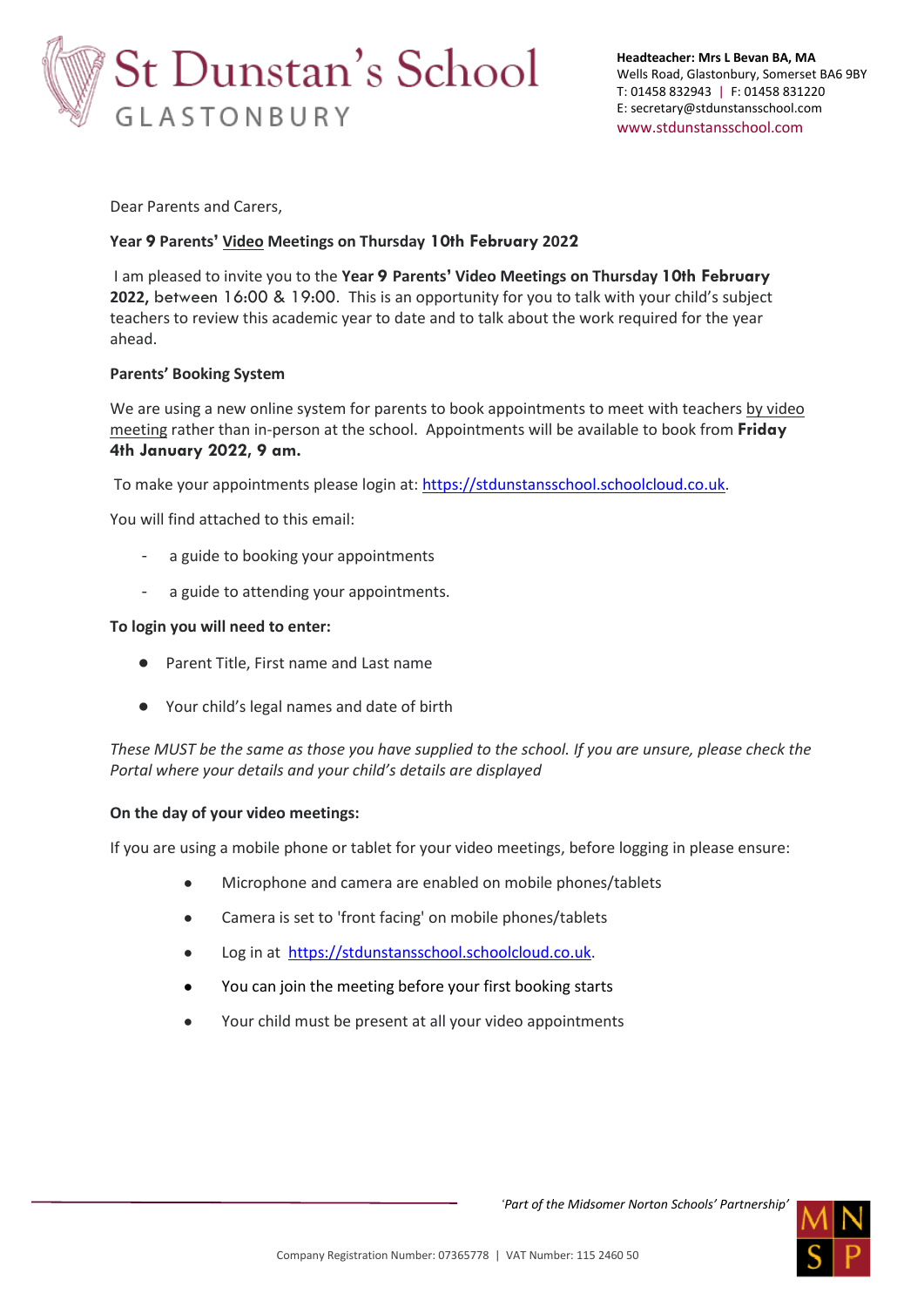

Dear Parents and Carers,

# **Year 9 Parents' Video Meetings on Thursday 10th February 2022**

I am pleased to invite you to the **Year 9 Parents' Video Meetings on Thursday 10th February 2022**, between 16:00 & 19:00. This is an opportunity for you to talk with your child's subject teachers to review this academic year to date and to talk about the work required for the year ahead.

## **Parents' Booking System**

We are using a new online system for parents to book appointments to meet with teachers by video meeting rather than in-person at the school. Appointments will be available to book from **Friday 4th January 2022, 9 am.**

To make your appointments please login at: [https://stdunstansschool.schoolcloud.co.uk.](https://stdunstansschool.schoolcloud.co.uk/)

You will find attached to this email:

- a guide to booking your appointments
- a guide to attending your appointments.

## **To login you will need to enter:**

- Parent Title, First name and Last name
- Your child's legal names and date of birth

*These MUST be the same as those you have supplied to the school. If you are unsure, please check the Portal where your details and your child's details are displayed*

#### **On the day of your video meetings:**

If you are using a mobile phone or tablet for your video meetings, before logging in please ensure:

- Microphone and camera are enabled on mobile phones/tablets
- Camera is set to 'front facing' on mobile phones/tablets
- Log in at [https://stdunstansschool.schoolcloud.co.uk.](https://stdunstansschool.schoolcloud.co.uk/)
- You can join the meeting before your first booking starts
- Your child must be present at all your video appointments